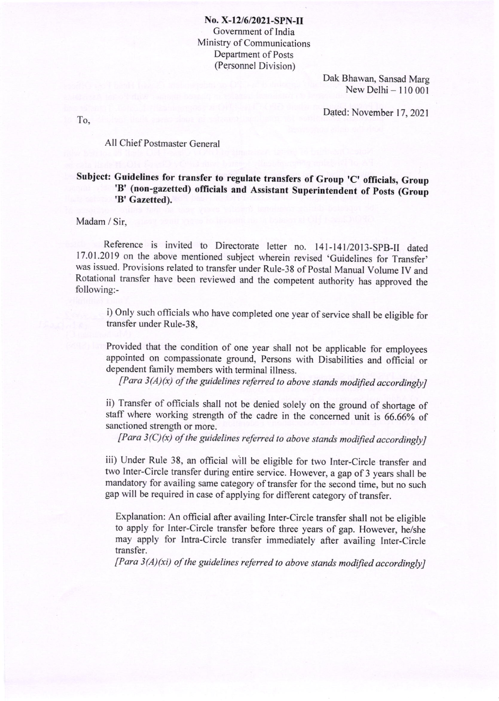No. X-12/6/2021-SPN-II Govemment of India Ministry of Communications Department of Posts (Personnel Division)

> Dak Bhawan, Sansad Marg New Delhi  $-110001$

Dated: November 17, 2021

To,

## All Chief Postmaster General

## Subject: Guidelines for transfer to regulate transfers of Group 'C' officials, Group 'B' (non-gazetted) officials and Assistant Superintendent of Posts (Group 'B' Gazetted).

## Madam / Sir,

Reference is invited to Directorate letter no. 141-141/2013-SPB-II dated 17.01.2019 on the above mentioned subject wherein revised 'Guidelines for Transfer' was issued. Provisions related to transfer under Rule-38 of Postal Manual Volume IV and Rotational transfer have been reviewed and the competent authority has approved the following:-

i) Only such officials who have completed one year of service shall be eligible for transfer under Rule-38,

Provided that the condition of one year shall not be applicable for employees appointed on compassionate ground, Persons with Disabilities and official or dependent family members with terminal illness.

 $[Para 3(A)(x) of the guidelines referred to above stands modified accordingly]$ 

ii) Transfer of officials shall not be denied solely on the ground of shortage of staff where working strength of the cadre in the concemed unit is 66.66% of sanctioned strength or more.

 $[Para 3(C)(x)$  of the guidelines referred to above stands modified accordingly]

iii) Under Rule 38, an official will be eligible for two Inter-Circle transfer and two Inter-Circle transfer during entire service. However, a gap of 3 years shall be mandatory for availing same category of transfer for the second time, but no such gap will be required in case of applying for different category of transfer.

Explanation: An official after availing Inter-Circle transfer shall not be eligible to apply for Inter-Circle transfer before three years of gap. However, he/she may apply for Intra-Circle transfer immediately after availing Inter-Circle transfer.

 $[Para 3(A)(xi)$  of the guidelines referred to above stands modified accordingly]